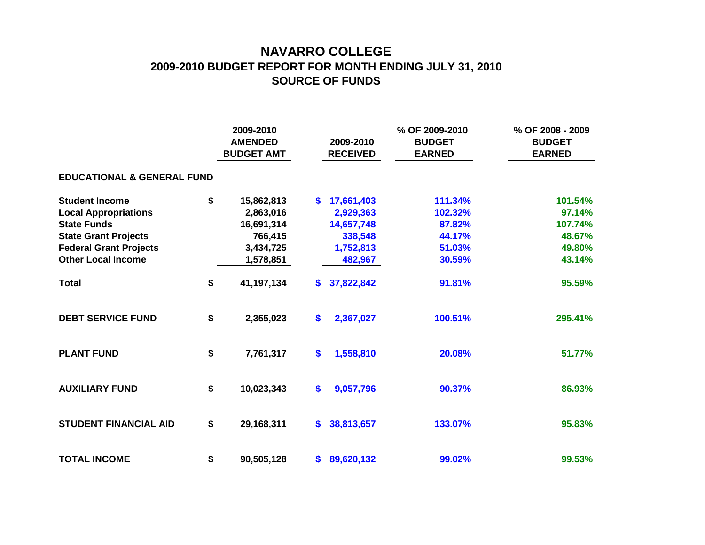## **NAVARRO COLLEGE 2009-2010 BUDGET REPORT FOR MONTH ENDING JULY 31, 2010 SOURCE OF FUNDS**

|                                       |    |            | 2009-2010<br><b>AMENDED</b><br><b>BUDGET AMT</b> |            | % OF 2009-2010<br><b>BUDGET</b><br><b>EARNED</b> | % OF 2008 - 2009<br><b>BUDGET</b><br><b>EARNED</b> |  |  |  |  |  |  |  |
|---------------------------------------|----|------------|--------------------------------------------------|------------|--------------------------------------------------|----------------------------------------------------|--|--|--|--|--|--|--|
| <b>EDUCATIONAL &amp; GENERAL FUND</b> |    |            |                                                  |            |                                                  |                                                    |  |  |  |  |  |  |  |
| <b>Student Income</b>                 | \$ | 15,862,813 | S.                                               | 17,661,403 | 111.34%                                          | 101.54%                                            |  |  |  |  |  |  |  |
| <b>Local Appropriations</b>           |    | 2,863,016  |                                                  | 2,929,363  | 102.32%                                          | 97.14%                                             |  |  |  |  |  |  |  |
| <b>State Funds</b>                    |    | 16,691,314 |                                                  | 14,657,748 | 87.82%                                           | 107.74%                                            |  |  |  |  |  |  |  |
| <b>State Grant Projects</b>           |    | 766,415    |                                                  | 338,548    | 44.17%                                           | 48.67%                                             |  |  |  |  |  |  |  |
| <b>Federal Grant Projects</b>         |    | 3,434,725  |                                                  | 1,752,813  | 51.03%                                           | 49.80%                                             |  |  |  |  |  |  |  |
| <b>Other Local Income</b>             |    | 1,578,851  |                                                  | 482,967    | 30.59%                                           | 43.14%                                             |  |  |  |  |  |  |  |
| <b>Total</b>                          | \$ | 41,197,134 | \$.                                              | 37,822,842 | 91.81%                                           | 95.59%                                             |  |  |  |  |  |  |  |
| <b>DEBT SERVICE FUND</b>              | \$ | 2,355,023  | \$                                               | 2,367,027  | 100.51%                                          | 295.41%                                            |  |  |  |  |  |  |  |
| <b>PLANT FUND</b>                     | \$ | 7,761,317  | \$                                               | 1,558,810  | 20.08%                                           | 51.77%                                             |  |  |  |  |  |  |  |
| <b>AUXILIARY FUND</b>                 | \$ | 10,023,343 | \$                                               | 9,057,796  | 90.37%                                           | 86.93%                                             |  |  |  |  |  |  |  |
| <b>STUDENT FINANCIAL AID</b>          | \$ | 29,168,311 | \$.                                              | 38,813,657 | 133.07%                                          | 95.83%                                             |  |  |  |  |  |  |  |
| <b>TOTAL INCOME</b>                   | \$ | 90,505,128 | \$                                               | 89,620,132 | 99.02%                                           | 99.53%                                             |  |  |  |  |  |  |  |